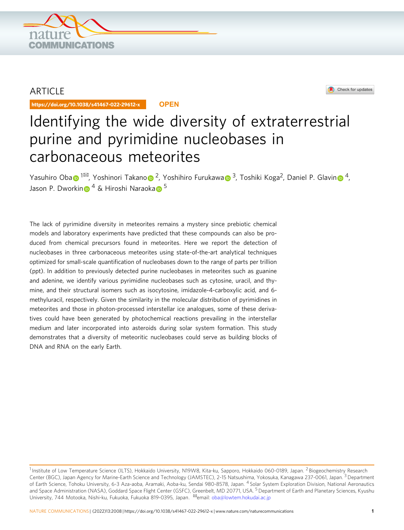

## ARTICLE

https://doi.org/10.1038/s41467-022-29612-x **OPEN**



# Identifying the wide diversity of extraterrestrial purine and pyrimidine nucleobases in carbonaceous meteorites

Y[a](http://orcid.org/0000-0001-7241-530X)suhir[o](http://orcid.org/0000-0003-1151-144X) Oba  $\bullet$ <sup>[1](http://orcid.org/0000-0002-6852-3604) $\boxtimes$ </sup>, Yoshi[n](http://orcid.org/0000-0001-7779-7765)ori Takano  $\bullet$  <sup>2</sup>, Yoshihiro Furukawa  $\bullet$  <sup>[3](http://orcid.org/0000-0001-7241-530X)</sup>, Toshiki Koga<sup>2</sup>, Daniel P. Glavin  $\bullet$  <sup>[4](http://orcid.org/0000-0001-7779-7765)</sup>, Jaso[n](http://orcid.org/0000-0002-3961-8997) P. Dworkin  $\bigcirc$  <sup>4</sup> & Hiroshi N[a](http://orcid.org/0000-0002-2373-8759)raoka  $\bigcirc$  <sup>5</sup>

The lack of pyrimidine diversity in meteorites remains a mystery since prebiotic chemical models and laboratory experiments have predicted that these compounds can also be produced from chemical precursors found in meteorites. Here we report the detection of nucleobases in three carbonaceous meteorites using state-of-the-art analytical techniques optimized for small-scale quantification of nucleobases down to the range of parts per trillion (ppt). In addition to previously detected purine nucleobases in meteorites such as guanine and adenine, we identify various pyrimidine nucleobases such as cytosine, uracil, and thymine, and their structural isomers such as isocytosine, imidazole-4-carboxylic acid, and 6 methyluracil, respectively. Given the similarity in the molecular distribution of pyrimidines in meteorites and those in photon-processed interstellar ice analogues, some of these derivatives could have been generated by photochemical reactions prevailing in the interstellar medium and later incorporated into asteroids during solar system formation. This study demonstrates that a diversity of meteoritic nucleobases could serve as building blocks of DNA and RNA on the early Earth.

<sup>&</sup>lt;sup>1</sup> Institute of Low Temperature Science (ILTS), Hokkaido University, N19W8, Kita-ku, Sapporo, Hokkaido 060-0189, Japan. <sup>2</sup> Biogeochemistry Research Center (BGC), Japan Agency for Marine-Earth Science and Technology (JAMSTEC), 2-15 Natsushima, Yokosuka, Kanagawa 237-0061, Japan. <sup>3</sup> Department of Earth Science, Tohoku University, 6-3 Aza-aoba, Aramaki, Aoba-ku, Sendai 980-8578, Japan. <sup>4</sup> Solar System Exploration Division, National Aeronautics and Space Administration (NASA), Goddard Space Flight Center (GSFC), Greenbelt, MD 20771, USA. <sup>5</sup> Department of Earth and Planetary Sciences, Kyushu University, 744 Motooka, Nishi-ku, Fukuoka, Fukuoka 819-0395, Japan. <sup>⊠</sup>email: [oba@lowtem.hokudai.ac.jp](mailto:oba@lowtem.hokudai.ac.jp)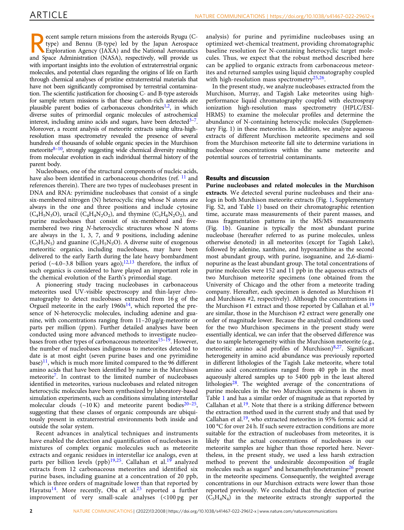ecent sample return missions from the asteroids Ryugu (Ctype) and Bennu (B-type) led by the Japan Aerospace
Exploration Agency (JAXA) and the National Aeronautics<br>
Space Aministrics (NASA) are negatively will provide use type) and Bennu (B-type) led by the Japan Aerospace and Space Administration (NASA), respectively, will provide us with important insights into the evolution of extraterrestrial organic molecules, and potential clues regarding the origins of life on Earth through chemical analyses of pristine extraterrestrial materials that have not been significantly compromised by terrestrial contamination. The scientific justification for choosing C- and B-type asteroids for sample return missions is that these carbon-rich asteroids are plausible parent bodies of carbonaceous chondrites<sup>[1](#page-8-0),[2](#page-8-0)</sup>, in which diverse suites of primordial organic molecules of astrochemical interest, including amino acids and sugars, have been detected $3-7$  $3-7$ . Moreover, a recent analysis of meteorite extracts using ultra-highresolution mass spectrometry revealed the presence of several hundreds of thousands of soluble organic species in the Murchison meteorite $8-10$  $8-10$ , strongly suggesting wide chemical diversity resulting from molecular evolution in each individual thermal history of the parent body.

Nucleobases, one of the structural components of nucleic acids, have also been identified in carbonaceous chondrites (ref. <sup>[11](#page-8-0)</sup> and references therein). There are two types of nucleobases present in DNA and RNA: pyrimidine nucleobases that consist of a single six-membered nitrogen (N) heterocyclic ring whose N atoms are always in the one and three positions and include cytosine  $(C_4H_5N_3O)$ , uracil  $(C_4H_4N_2O_2)$ , and thymine  $(C_5H_6N_2O_2)$ , and purine nucleobases that consist of six-membered and fivemembered two ring N-heterocyclic structures whose N atoms are always in the 1, 3, 7, and 9 positions, including adenine  $(C_5H_5N_5)$  and guanine  $(C_5H_5N_5O)$ . A diverse suite of exogenous meteoritic organics, including nucleobases, may have been delivered to the early Earth during the late heavy bombardment period (~4.0–3.8 billion years ago);<sup>[12](#page-8-0),[13](#page-8-0)</sup> therefore, the influx of such organics is considered to have played an important role in the chemical evolution of the Earth's primordial stage.

A pioneering study tracing nucleobases in carbonaceous meteorites used UV-visible spectroscopy and thin-layer chromatography to detect nucleobases extracted from 16 g of the Orgueil meteorite in the early  $1960s<sup>14</sup>$ , which reported the presence of N-heterocyclic molecules, including adenine and guanine, with concentrations ranging from 11–20 μg/g-meteorite or parts per million (ppm). Further detailed analyses have been conducted using more advanced methods to investigate nucleo-bases from other types of carbonaceous meteorites<sup>[15](#page-8-0)–[19](#page-9-0)</sup>. However, the number of nucleobases indigenous to meteorites detected to date is at most eight (seven purine bases and one pyrimidine base) $11$ , which is much more limited compared to the 96 different amino acids that have been identified by name in the Murchison meteorit[e7](#page-8-0). In contrast to the limited number of nucleobases identified in meteorites, various nucleobases and related nitrogen heterocyclic molecules have been synthesized by laboratory-based simulation experiments, such as conditions simulating interstellar molecular clouds  $(-10 \text{ K})$  and meteorite parent bodies<sup>[20](#page-9-0)–25</sup>, suggesting that these classes of organic compounds are ubiquitously present in extraterrestrial environments both inside and outside the solar system.

Recent advances in analytical techniques and instruments have enabled the detection and quantification of nucleobases in mixtures of complex organic molecules such as meteorite extracts and organic residues in interstellar ice analogs, even at parts per billion levels (ppb)<sup>[19,25](#page-9-0)</sup>. Callahan et al.<sup>[19](#page-9-0)</sup> analyzed extracts from 12 carbonaceous meteorites and identified six purine bases, including guanine at a concentration of 20 ppb, which is three orders of magnitude lower than that reported by Hayatsu<sup>[14](#page-8-0)</sup>. More recently, Oba et al.<sup>[25](#page-9-0)</sup> reported a further improvement of very small-scale analyses (<100 pg per

analysis) for purine and pyrimidine nucleobases using an optimized wet-chemical treatment, providing chromatographic baseline resolution for N-containing heterocyclic target molecules. Thus, we expect that the robust method described here can be applied to organic extracts from carbonaceous meteorites and returned samples using liquid chromatography coupled with high-resolution mass spectrometry<sup>[25,26](#page-9-0)</sup>.

In the present study, we analyze nucleobases extracted from the Murchison, Murray, and Tagish Lake meteorites using highperformance liquid chromatography coupled with electrospray ionization high-resolution mass spectrometry (HPLC/ESI-HRMS) to examine the molecular profiles and determine the abundance of N-containing heterocyclic molecules (Supplementary Fig. 1) in these meteorites. In addition, we analyze aqueous extracts of different Murchison meteorite specimens and soil from the Murchison meteorite fall site to determine variations in nucleobase concentrations within the same meteorite and potential sources of terrestrial contaminants.

### Results and discussion

Purine nucleobases and related molecules in the Murchison extracts. We detected several purine nucleobases and their analogs in both Murchison meteorite extracts (Fig. [1,](#page-2-0) Supplementary Fig. S2, and Table [1](#page-3-0)) based on their chromatographic retention time, accurate mass measurements of their parent masses, and mass fragmentation patterns in the MS/MS measurements (Fig. [1](#page-2-0)b). Guanine is typically the most abundant purine nucleobase (hereafter referred to as purine molecules, unless otherwise denoted) in all meteorites (except for Tagish Lake), followed by adenine, xanthine, and hypoxanthine as the second most abundant group, with purine, isoguanine, and 2,6-diaminopurine as the least abundant group. The total concentrations of purine molecules were 152 and 11 ppb in the aqueous extracts of two Murchison meteorite specimens (one obtained from the University of Chicago and the other from a meteorite trading company. Hereafter, each specimen is denoted as Murchison #1 and Murchison #2, respectively). Although the concentrations in the Murchison #1 extract and those reported by Callahan et al.<sup>19</sup> are similar, those in the Murchison #2 extract were generally one order of magnitude lower. Because the analytical conditions used for the two Murchison specimens in the present study were essentially identical, we can infer that the observed difference was due to sample heterogeneity within the Murchison meteorite (e.g., meteoritic amino acid profiles of Murchison) $8,27$  $8,27$ . Significant heterogeneity in amino acid abundance was previously reported in different lithologies of the Tagish Lake meteorite, where total amino acid concentrations ranged from 40 ppb in the most aqueously altered samples up to 5400 ppb in the least altered lithologies<sup>28</sup>. The weighted average of the concentrations of purine molecules in the two Murchison specimens is shown in Table [1](#page-3-0) and has a similar order of magnitude as that reported by Callahan et al.<sup>19</sup>. Note that there is a striking difference between the extraction method used in the current study and that used by Callahan et al.[19](#page-9-0), who extracted meteorites in 95% formic acid at 100 °C for over 24 h. If such severe extraction conditions are more suitable for the extraction of nucleobases from meteorites, it is likely that the actual concentrations of nucleobases in our meteorite samples are higher than those reported here. Nevertheless, in the present study, we used a less harsh extraction method to prevent the undesirable decomposition of fragile molecules such as sugars<sup>[6](#page-8-0)</sup> and hexamethylenetetramine<sup>[26](#page-9-0)</sup> present in the meteorite specimens. Consequently, the weighted average concentrations in our Murchison extracts were lower than those reported previously. We concluded that the detection of purine  $(C_5H_4N_4)$  in the meteorite extracts strongly supported the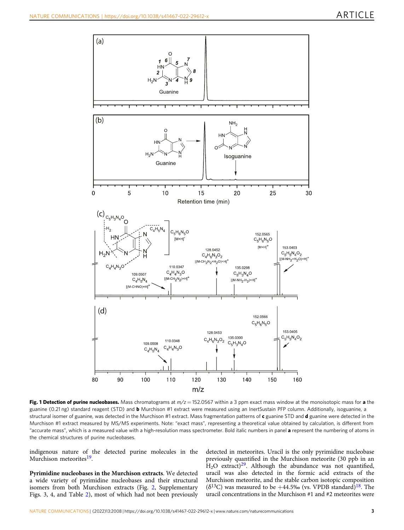<span id="page-2-0"></span>

Fig. 1 Detection of purine nucleobases. Mass chromatograms at  $m/z = 152.0567$  within a 3 ppm exact mass window at the monoisotopic mass for a the guanine (0.21 ng) standard reagent (STD) and **b** Murchison #1 extract were measured using an InertSustain PFP column. Additionally, isoguanine, a structural isomer of guanine, was detected in the Murchison #1 extract. Mass fragmentation patterns of c guanine STD and d guanine were detected in the Murchison #1 extract measured by MS/MS experiments. Note: "exact mass", representing a theoretical value obtained by calculation, is different from "accurate mass", which is a measured value with a high-resolution mass spectrometer. Bold italic numbers in panel a represent the numbering of atoms in the chemical structures of purine nucleobases.

indigenous nature of the detected purine molecules in the Murchison meteorites<sup>19</sup>.

Pyrimidine nucleobases in the Murchison extracts. We detected a wide variety of pyrimidine nucleobases and their structural isomers from both Murchison extracts (Fig. [2](#page-4-0), Supplementary Figs. 3, 4, and Table [2](#page-5-0)), most of which had not been previously

detected in meteorites. Uracil is the only pyrimidine nucleobase previously quantified in the Murchison meteorite (30 ppb in an  $H<sub>2</sub>O$  extract)<sup>29</sup>. Although the abundance was not quantified, uracil was also detected in the formic acid extracts of the Murchison meteorite, and the stable carbon isotopic composition  $(\delta^{13}C)$  was measured to be +44.5‰ (vs. VPDB standard)<sup>18</sup>. The uracil concentrations in the Murchison #1 and #2 meteorites were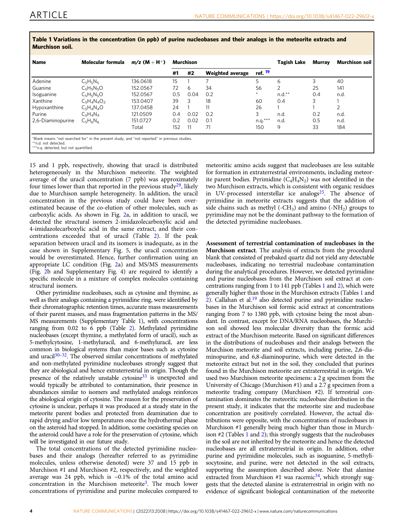| <b>Name</b>                                                   | Molecular formula                                                                             | $m/z$ (M + H <sup>+</sup> ) |     | Murchison |                         | Tagish Lake        | Murray         | Murchison soil |      |
|---------------------------------------------------------------|-----------------------------------------------------------------------------------------------|-----------------------------|-----|-----------|-------------------------|--------------------|----------------|----------------|------|
|                                                               |                                                                                               |                             | #1  | #2        | <b>Weighted average</b> | ref. <sup>19</sup> |                |                |      |
| Adenine                                                       | $C_5H_5N_5$                                                                                   | 136.0618                    | 15  |           | ⇁                       | 5                  | 6              | 3              | 40   |
| Guanine                                                       | $C_5H_5N_5O$                                                                                  | 152.0567                    | 72  | 6         | 34                      | 56                 | $\overline{2}$ | 25             | 141  |
| Isoguanine                                                    | $C_5H_5N_5O$                                                                                  | 152.0567                    | 0.5 | 0.04      | 0.2                     | $\star$            | $n.d.**$       | 0.4            | n.d. |
| Xanthine                                                      | $C_5H_4N_4O_2$                                                                                | 153.0407                    | 39  | 3         | 18                      | 60                 | 0.4            | 3              |      |
| Hypoxanthine                                                  | $C_5H_4N_4O$                                                                                  | 137.0458                    | 24  |           | 11                      | 26                 |                |                | C    |
| Purine                                                        | $C_5H_4N_4$                                                                                   | 121.0509                    | 0.4 | 0.02      | 0.2                     | 3                  | n.d.           | 0.2            | n.d. |
| 2,6-Diaminopurine                                             | $C_5H_6N_6$                                                                                   | 151.0727                    | 0.2 | 0.02      | 0.1                     | $n.q.***$          | n.d.           | 0.5            | n.d. |
|                                                               |                                                                                               | Total                       | 152 | 11        | 71                      | 150                | 9              | 33             | 184  |
| **n.d. not detected.<br>***n.g. detected, but not quantified. | *Blank means "not searched for" in the present study, and "not reported" in previous studies. |                             |     |           |                         |                    |                |                |      |

<span id="page-3-0"></span>Table 1 Variations in the concentration (in ppb) of purine nucleobases and their analogs in the meteorite extracts and Murchison soil.

15 and 1 ppb, respectively, showing that uracil is distributed heterogeneously in the Murchison meteorite. The weighted average of the uracil concentration (7 ppb) was approximately four times lower than that reported in the previous study<sup>29</sup>, likely due to Murchison sample heterogeneity. In addition, the uracil concentration in the previous study could have been overestimated because of the co-elution of other molecules, such as carboxylic acids. As shown in Fig. [2](#page-4-0)a, in addition to uracil, we detected the structural isomers 2-imidazolecarboxylic acid and 4-imidazolecarboxylic acid in the same extract, and their concentrations exceeded that of uracil (Table [2](#page-5-0)). If the peak separation between uracil and its isomers is inadequate, as in the case shown in Supplementary Fig. 5, the uracil concentration would be overestimated. Hence, further confirmation using an appropriate LC condition (Fig. [2a](#page-4-0)) and MS/MS measurements (Fig. [2b](#page-4-0) and Supplementary Fig. 4) are required to identify a specific molecule in a mixture of complex molecules containing structural isomers.

Other pyrimidine nucleobases, such as cytosine and thymine, as well as their analogs containing a pyrimidine ring, were identified by their chromatographic retention times, accurate mass measurements of their parent masses, and mass fragmentation patterns in the MS/ MS measurements (Supplementary Table 1), with concentrations ranging from 0.02 to 6 ppb (Table [2\)](#page-5-0). Methylated pyrimidine nucleobases (except thymine, a methylated form of uracil), such as 5-methylcytosine, 1-methyluracil, and 6-methyluracil, are less common in biological systems than major bases such as cytosine and uracil $30-32$  $30-32$  $30-32$ . The observed similar concentrations of methylated and non-methylated pyrimidine nucleobases strongly suggest that they are abiological and hence extraterrestrial in origin. Though the presence of the relatively unstable cytosine<sup>[33](#page-9-0)</sup> is unexpected and would typically be attributed to contamination, their presence in abundances similar to isomers and methylated analogs reinforces the abiological origin of cytosine. The reason for the preservation of cytosine is unclear, perhaps it was produced at a steady state in the meteorite parent bodies and protected from deamination due to rapid drying and/or low temperatures once the hydrothermal phase on the asteroid had stopped. In addition, some coexisting species on the asteroid could have a role for the preservation of cytosine, which will be investigated in our future study.

The total concentrations of the detected pyrimidine nucleobases and their analogs (hereafter referred to as pyrimidine molecules, unless otherwise denoted) were 37 and 15 ppb in Murchison #1 and Murchison #2, respectively, and the weighted average was 24 ppb, which is  $\sim 0.1\%$  of the total amino acid concentration in the Murchison meteorite<sup>3</sup>. The much lower concentrations of pyrimidine and purine molecules compared to

meteoritic amino acids suggest that nucleobases are less suitable for formation in extraterrestrial environments, including meteorite parent bodies. Pyrimidine  $(C_4H_4N_2)$  was not identified in the two Murchison extracts, which is consistent with organic residues in UV-processed interstellar ice analogs<sup>25</sup>. The absence of pyrimidine in meteorite extracts suggests that the addition of side chains such as methyl (-CH<sub>3</sub>) and amino (-NH<sub>2</sub>) groups to pyrimidine may not be the dominant pathway to the formation of the detected pyrimidine nucleobases.

Assessment of terrestrial contamination of nucleobases in the Murchison extract. The analysis of extracts from the procedural blank that consisted of prebaked quartz did not yield any detectable nucleobases, indicating no terrestrial nucleobase contamination during the analytical procedures. However, we detected pyrimidine and purine nucleobases from the Murchison soil extract at concentrations ranging from 1 to 141 ppb (Tables 1 and [2](#page-5-0)), which were generally higher than those in the Murchison extracts (Tables 1 and  $\frac{8}{2}$  $\frac{8}{2}$  $\frac{8}{2}$ ). Callahan et al.<sup>[19](#page-9-0)</sup> also detected purine and pyrimidine nucleobases in the Murchison soil formic acid extract at concentrations ranging from 7 to 1380 ppb, with cytosine being the most abundant. In contrast, except for DNA/RNA nucleobases, the Murchison soil showed less molecular diversity than the formic acid extract of the Murchison meteorite. Based on significant differences in the distributions of nucleobases and their analogs between the Murchison meteorite and soil extracts, including purine, 2,6-diaminopurine, and 6,8-diaminopurine, which were detected in the meteorite extract but not in the soil, they concluded that purines found in the Murchison meteorite are extraterrestrial in origin. We used two Murchison meteorite specimens: a 2 g specimen from the University of Chicago (Murchison #1) and a 2.7 g specimen from a meteorite trading company (Murchison #2). If terrestrial contamination dominates the meteoritic nucleobase distribution in the present study, it indicates that the meteorite size and nucleobase concentration are positively correlated. However, the actual distributions were opposite, with the concentrations of nucleobases in Murchison #1 generally being much higher than those in Murchison #2 (Tables 1 and [2\)](#page-5-0); this strongly suggests that the nucleobases in the soil are not inherited by the meteorite and hence the detected nucleobases are all extraterrestrial in origin. In addition, other purine and pyrimidine molecules, such as isoguanine, 5-methylisocytosine, and purine, were not detected in the soil extracts, supporting the assumption described above. Note that alanine extracted from Murchison #1 was racemic<sup>34</sup>, which strongly suggests that the detected alanine is extraterrestrial in origin with no evidence of significant biological contamination of the meteorite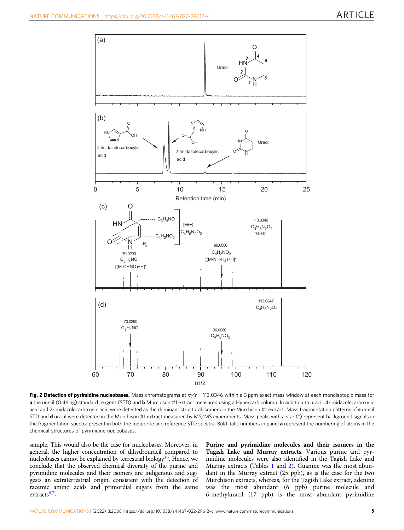<span id="page-4-0"></span>

Fig. 2 Detection of pyrimidine nucleobases. Mass chromatograms at  $m/z = 113.0346$  within a 3 ppm exact mass window at each monoisotopic mass for a the uracil (0.46 ng) standard reagent (STD) and **b** Murchison #1 extract measured using a Hypercarb column. In addition to uracil, 4-imidazolecarboxylic acid and 2-imidazolecarboxylic acid were detected as the dominant structural isomers in the Murchison #1 extract. Mass fragmentation patterns of  $c$  uracil STD and d uracil were detected in the Murchison #1 extract measured by MS/MS experiments. Mass peaks with a star (\*) represent background signals in the fragmentation spectra present in both the meteorite and reference STD spectra. Bold italic numbers in panel a represent the numbering of atoms in the chemical structures of pyrimidine nucleobases.

sample. This would also be the case for nucleobases. Moreover, in general, the higher concentration of dihydrouracil compared to nucleobases cannot be explained by terrestrial biology $35$ . Hence, we conclude that the observed chemical diversity of the purine and pyrimidine molecules and their isomers are indigenous and suggests an extraterrestrial origin, consistent with the detection of racemic amino acids and primordial sugars from the same extracts $6,7$  $6,7$  $6,7$ .

Purine and pyrimidine molecules and their isomers in the Tagish Lake and Murray extracts. Various purine and pyrimidine molecules were also identified in the Tagish Lake and Murray extracts (Tables [1](#page-3-0) and [2\)](#page-5-0). Guanine was the most abundant in the Murray extract (25 ppb), as is the case for the two Murchison extracts, whereas, for the Tagish Lake extract, adenine was the most abundant (6 ppb) purine molecule and 6-methyluracil (17 ppb) is the most abundant pyrimidine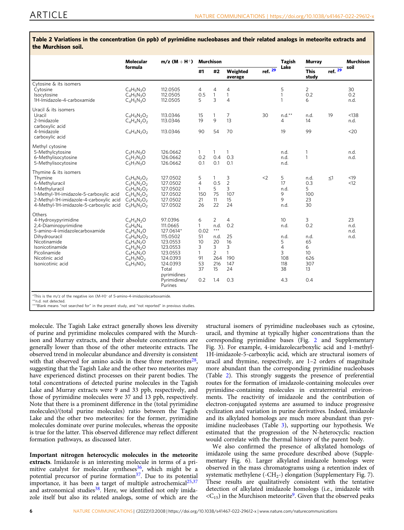|                                                                                                                                                                                                       | Molecular<br>formula                                                                                                                          | $m/z (M + H^{+})$                                                                                                                                           | <b>Murchison</b>                                                                    |                                                                                                 |                                                                                   |           | <b>Tagish</b>                                                             | Murray                                                       |          | Murchison                  |
|-------------------------------------------------------------------------------------------------------------------------------------------------------------------------------------------------------|-----------------------------------------------------------------------------------------------------------------------------------------------|-------------------------------------------------------------------------------------------------------------------------------------------------------------|-------------------------------------------------------------------------------------|-------------------------------------------------------------------------------------------------|-----------------------------------------------------------------------------------|-----------|---------------------------------------------------------------------------|--------------------------------------------------------------|----------|----------------------------|
|                                                                                                                                                                                                       |                                                                                                                                               |                                                                                                                                                             | #1                                                                                  | #2                                                                                              | Weighted<br>average                                                               | ref. $29$ | Lake                                                                      | <b>This</b><br>study                                         | ref. 29  | soil                       |
| Cytosine & its isomers<br>Cytosine<br>Isocytosine<br>1H-Imidazole-4-carboxamide                                                                                                                       | $C_4H_5N_3O$<br>$C_4H_5N_3O$<br>$C_4H_5N_3O$                                                                                                  | 112.0505<br>112.0505<br>112.0505                                                                                                                            | 4<br>0.5<br>5                                                                       | 4<br>$\mathbf{1}$<br>3                                                                          | 4<br>$\mathbf{1}$<br>4                                                            |           | 5<br>$\mathbf{1}$<br>$\mathbf{1}$                                         | $\overline{2}$<br>0.2<br>6                                   |          | 30<br>0.2<br>n.d.          |
| Uracil & its isomers<br>Uracil<br>2-Imidazole<br>carboxylic acid<br>4-Imidazole<br>carboxylic acid                                                                                                    | $C_4H_4N_2O_2$<br>$C_4H_4N_2O_2$<br>$C_4H_4N_2O_2$                                                                                            | 113.0346<br>113.0346<br>113.0346                                                                                                                            | 15<br>19<br>90                                                                      | 1<br>9<br>54                                                                                    | 7<br>13<br>70                                                                     | 30        | $n.d.**$<br>4<br>19                                                       | n.d.<br>14<br>99                                             | 19       | < 138<br>n.d.<br>$20$      |
| Methyl cytosine<br>5-Methylcytosine<br>6-Methylisocytosine<br>5-Methylisocytosine                                                                                                                     | $C_5H_7N_3O$<br>$C_5H_7N_3O$<br>$C_5H_7N_3O$                                                                                                  | 126.0662<br>126.0662<br>126.0662                                                                                                                            | $\mathbf{1}$<br>0.2<br>0.1                                                          | $\mathbf{1}$<br>0.4<br>0.1                                                                      | $\mathbf{1}$<br>0.3<br>0.1                                                        |           | n.d.<br>n.d.<br>n.d.                                                      | 1<br>1                                                       |          | n.d.<br>n.d.               |
| Thymine & its isomers<br>Thymine<br>6-Methyluracil<br>1-Methyluracil<br>1-Methyl-1H-imidazole-5-carboxylic acid<br>2-Methyl-1H-imidazole-4-carboxylic acid<br>4-Methyl-1H-imidazole-5-carboxylic acid | $C_5H_6N_2O_2$<br>$C_5H_6N_2O_2$<br>$C_5H_6N_2O_2$<br>$C_5H_6N_2O_2$<br>$C_5H_6N_2O_2$<br>$C_5H_6N_2O_2$                                      | 127.0502<br>127.0502<br>127.0502<br>127.0502<br>127.0502<br>127.0502                                                                                        | 5<br>$\overline{4}$<br>$\mathbf{1}$<br>150<br>21<br>26                              | $\mathbf{1}$<br>0.5<br>5<br>75<br>11<br>22                                                      | 3<br>$\overline{2}$<br>3<br>107<br>15<br>24                                       | $<$ 2     | 5<br>17<br>n.d.<br>9<br>9<br>n.d.                                         | n.d.<br>0.3<br>5<br>100<br>23<br>30                          | $\leq$ 1 | < 19<br>< 12               |
| Others<br>4-Hydroxypyrimidine<br>2,4-Diaminopyrimidine<br>5-amino-4-imidazolecarboxamide<br>Dihydrouracil<br>Nicotinamide<br>Isonicotinamide<br>Picolinamide<br>Nicotinic acid<br>Isonicotinic acid   | $C_4H_4N_2O$<br>$C_4H_6N_4$<br>$C_4H_6N_4O$<br>$C_4H_6N_2O_2$<br>$C_6H_6N_2O$<br>$C_6H_6N_2O$<br>$C_6H_6N_2O$<br>$C_6H_5NO_2$<br>$C_6H_5NO_2$ | 97.0396<br>111.0665<br>127.0614*<br>115.0502<br>123.0553<br>123.0553<br>123.0553<br>124.0393<br>124.0393<br>Total<br>pyrimidines<br>Pyrimidines/<br>Purines | 6<br>$\mathbf{1}$<br>0.02<br>51<br>10<br>3<br>$\mathbf{1}$<br>91<br>53<br>37<br>0.2 | $\overline{2}$<br>n.d.<br>$***$<br>n.d.<br>20<br>3<br>$\overline{2}$<br>264<br>216<br>15<br>1.4 | $\overline{4}$<br>0.2<br>25<br>16<br>3<br>$\mathbf{1}$<br>190<br>147<br>24<br>0.3 |           | 10<br>n.d.<br>n.d.<br>5<br>$\overline{4}$<br>3<br>108<br>118<br>38<br>4.3 | 3<br>0.2<br>n.d.<br>65<br>6<br>10<br>626<br>307<br>13<br>0.4 |          | 23<br>n.d.<br>n.d.<br>n.d. |

<span id="page-5-0"></span>Table 2 Variations in the concentration (in ppb) of pyrimidine nucleobases and their related analogs in meteorite extracts and the Murchison soil.

\*\*n.d. not detected. \*\*\*Blank means "not searched for" in the present study, and "not reported" in previous studies.

molecule. The Tagish Lake extract generally shows less diversity of purine and pyrimidine molecules compared with the Murchison and Murray extracts, and their absolute concentrations are generally lower than those of the other meteorite extracts. The observed trend in molecular abundance and diversity is consistent with that observed for amino acids in these three meteorites $28$ , suggesting that the Tagish Lake and the other two meteorites may have experienced distinct processes on their parent bodies. The total concentrations of detected purine molecules in the Tagish Lake and Murray extracts were 9 and 33 ppb, respectively, and those of pyrimidine molecules were 37 and 13 ppb, respectively. Note that there is a prominent difference in the (total pyrimidine molecules)/(total purine molecules) ratio between the Tagish Lake and the other two meteorites: for the former, pyrimidine molecules dominate over purine molecules, whereas the opposite is true for the latter. This observed difference may reflect different formation pathways, as discussed later.

Important nitrogen heterocyclic molecules in the meteorite extracts. Imidazole is an interesting molecule in terms of a pri-mitive catalyst for molecular syntheses<sup>[36](#page-9-0)</sup>, which might be a potential precursor of purine formation<sup>[37](#page-9-0)</sup>. Due to its potential importance, it has been a target of multiple astrochemical<sup>[25,37](#page-9-0)</sup> and astronomical studies<sup>[38](#page-9-0)</sup>. Here, we identified not only imidazole itself but also its related analogs, some of which are the

structural isomers of pyrimidine nucleobases such as cytosine, uracil, and thymine at typically higher concentrations than the corresponding pyrimidine bases (Fig. [2](#page-4-0) and Supplementary Fig. 3). For example, 4-imidazolecarboxylic acid and 1-methyl-1H-imidazole-5-carboxylic acid, which are structural isomers of uracil and thymine, respectively, are 1–2 orders of magnitude more abundant than the corresponding pyrimidine nucleobases (Table 2). This strongly suggests the presence of preferential routes for the formation of imidazole-containing molecules over pyrimidine-containing molecules in extraterrestrial environments. The reactivity of imidazole and the contribution of electron-conjugated systems are assumed to induce progressive cyclization and variation in purine derivatives. Indeed, imidazole and its alkylated homologs are much more abundant than pyrimidine nucleobases (Table [3](#page-6-0)), supporting our hypothesis. We estimated that the progression of the N-heterocyclic reaction would correlate with the thermal history of the parent body.

We also confirmed the presence of alkylated homologs of imidazole using the same procedure described above (Supplementary Fig. 6). Larger alkylated imidazole homologs were observed in the mass chromatograms using a retention index of systematic methylene (- $CH_{2}$ -) elongation (Supplementary Fig. 7). These results are qualitatively consistent with the tentative detection of alkylated imidazole homologs (i.e., imidazole with  $\langle C_{15} \rangle$  in the Murchison meteorite<sup>[9](#page-8-0)</sup>. Given that the observed peaks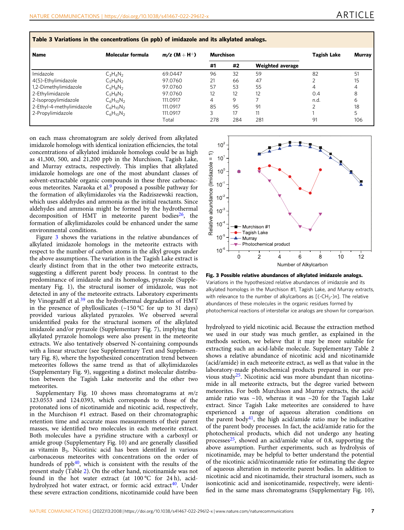| <b>Name</b>               | Molecular formula | $m/z$ (M + H <sup>+</sup> ) | Murchison |     |                         | Tagish Lake | <b>Murrav</b> |  |
|---------------------------|-------------------|-----------------------------|-----------|-----|-------------------------|-------------|---------------|--|
|                           |                   |                             | #1        | #2  | <b>Weighted average</b> |             |               |  |
| Imidazole                 | $C_3H_4N_2$       | 69.0447                     | 96        | 32  | 59                      | 82          | 51            |  |
| 4(5)-Ethylimidazole       | $C_5H_8N_2$       | 97.0760                     | 21        | 66  | 47                      |             | 15            |  |
| 1,2-Dimethylimidazole     | $C_5H_8N_2$       | 97.0760                     | 57        | 53  | 55                      | 4           | 4             |  |
| 2-Ethylimidazole          | $C_5H_8N_2$       | 97.0760                     | 12        | 12  | 12                      | 0.4         | 8             |  |
| 2-Isopropylimidazole      | $C_6H_{10}N_2$    | 111.0917                    | 4         | 9   |                         | n.d.        | 6             |  |
| 2-Ethyl-4-methylimidazole | $C_6H_{10}N_2$    | 111.0917                    | 85        | 95  | 91                      |             | 18            |  |
| 2-Propylimidazole         | $C_6H_{10}N_2$    | 111.0917                    |           | 17  | 11                      |             |               |  |
|                           |                   | Total                       | 278       | 284 | 281                     | 91          | 106           |  |

<span id="page-6-0"></span>Table 3 Variations in the concentrations (in ppb) of imidazole and its alkylated analogs.

on each mass chromatogram are solely derived from alkylated imidazole homologs with identical ionization efficiencies, the total concentrations of alkylated imidazole homologs could be as high as 41,300, 500, and 21,200 ppb in the Murchison, Tagish Lake, and Murray extracts, respectively. This implies that alkylated imidazole homologs are one of the most abundant classes of solvent-extractable organic compounds in these three carbonaceous meteorites. Naraoka et al.<sup>9</sup> proposed a possible pathway for the formation of alkylimidazoles via the Radziszewski reaction, which uses aldehydes and ammonia as the initial reactants. Since aldehydes and ammonia might be formed by the hydrothermal decomposition of HMT in meteorite parent bodies<sup>26</sup>, the formation of alkylimidazoles could be enhanced under the same environmental conditions.

Figure 3 shows the variations in the relative abundances of alkylated imidazole homologs in the meteorite extracts with respect to the number of carbon atoms in the alkyl groups under the above assumptions. The variation in the Tagish Lake extract is clearly distinct from that in the other two meteorite extracts, suggesting a different parent body process. In contrast to the predominance of imidazole and its homologs, pyrazole (Supplementary Fig. 1), the structural isomer of imidazole, was not detected in any of the meteorite extracts. Laboratory experiments by Vinogradff et al.<sup>39</sup> on the hydrothermal degradation of HMT in the presence of phyllosilicates  $(\sim 150 \degree C$  for up to 31 days) provided various alkylated pyrazoles. We observed several unidentified peaks for the structural isomers of the alkylated imidazole and/or pyrazole (Supplementary Fig. 7), implying that alkylated pyrazole homologs were also present in the meteorite extracts. We also tentatively observed N-containing compounds with a linear structure (see Supplementary Text and Supplementary Fig. 8), where the hypothesized concentration trend between meteorites follows the same trend as that of alkylimidazoles (Supplementary Fig. 9), suggesting a distinct molecular distribution between the Tagish Lake meteorite and the other two meteorites.

Supplementary Fig. 10 shows mass chromatograms at  $m/z$ 123.0553 and 124.0393, which corresponds to those of the protonated ions of nicotinamide and nicotinic acid, respectively, in the Murchison #1 extract. Based on their chromatographic retention time and accurate mass measurements of their parent masses, we identified two molecules in each meteorite extract. Both molecules have a pyridine structure with a carboxyl or amide group (Supplementary Fig. 10) and are generally classified as vitamin B3. Nicotinic acid has been identified in various carbonaceous meteorites with concentrations on the order of hundreds of ppb<sup>[40](#page-9-0)</sup>, which is consistent with the results of the present study (Table [2\)](#page-5-0). On the other hand, nicotinamide was not found in the hot water extract (at 100 °C for 24 h), acidhydrolyzed hot water extract, or formic acid extract<sup>40</sup>. Under these severe extraction conditions, nicotinamide could have been



Fig. 3 Possible relative abundances of alkylated imidazole analogs. Variations in the hypothesized relative abundances of imidazole and its alkylated homologs in the Murchison #1, Tagish Lake, and Murray extracts, with relevance to the number of alkylcarbons as  $[(-CH<sub>2</sub>-)n]$ . The relative abundances of these molecules in the organic residues formed by photochemical reactions of interstellar ice analogs are shown for comparison.

hydrolyzed to yield nicotinic acid. Because the extraction method we used in our study was much gentler, as explained in the methods section, we believe that it may be more suitable for extracting such an acid-labile molecule. Supplementary Table 2 shows a relative abundance of nicotinic acid and nicotinamide (acid/amide) in each meteorite extract, as well as that value in the laboratory-made photochemical products prepared in our previous study[25.](#page-9-0) Nicotinic acid was more abundant than nicotinamide in all meteorite extracts, but the degree varied between meteorites. For both Murchison and Murray extracts, the acid/ amide ratio was  $\sim$ 10, whereas it was  $\sim$ 20 for the Tagish Lake extract. Since Tagish Lake meteorites are considered to have experienced a range of aqueous alteration conditions on the parent body<sup>[41](#page-9-0)</sup>, the high acid/amide ratio may be indicative of the parent body processes. In fact, the acid/amide ratio for the photochemical products, which did not undergo any heating processes $25$ , showed an acid/amide value of 0.8, supporting the above assumption. Further experiments, such as hydrolysis of nicotinamide, may be helpful to better understand the potential of the nicotinic acid/nicotinamide ratio for estimating the degree of aqueous alteration in meteorite parent bodies. In addition to nicotinic acid and nicotinamide, their structural isomers, such as isonicotinic acid and isonicotinamide, respectively, were identified in the same mass chromatograms (Supplementary Fig. 10),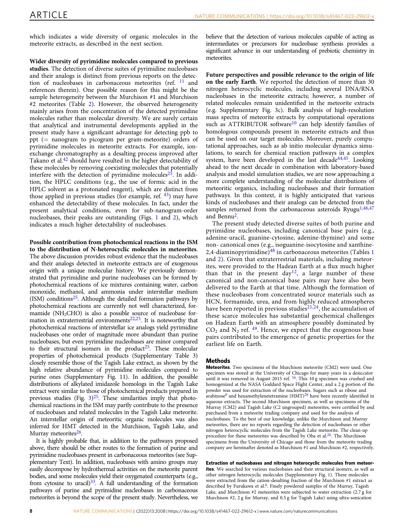which indicates a wide diversity of organic molecules in the meteorite extracts, as described in the next section.

Wider diversity of pyrimidine molecules compared to previous

studies. The detection of diverse suites of pyrimidine nucleobases and their analogs is distinct from previous reports on the detection of nucleobases in carbonaceous meteorites (ref.  $^{11}$  $^{11}$  $^{11}$  and references therein). One possible reason for this might be the sample heterogeneity between the Murchison #1 and Murchison #2 meteorites (Table [2\)](#page-5-0). However, the observed heterogeneity mainly arises from the concentration of the detected pyrimidine molecules rather than molecular diversity. We are surely certain that analytical and instrumental developments applied in the present study have a significant advantage for detecting ppb to ppt (= nanogram to picogram per gram-meteorite) orders of pyrimidine molecules in meteorite extracts. For example, ionexchange chromatography as a desalting process improved after Takano et al.<sup>[42](#page-9-0)</sup> should have resulted in the higher detectability of these molecules by removing coexisting molecules that potentially interfere with the detection of pyrimidine molecules $25$ . In addition, the HPLC conditions (e.g., the use of formic acid in the HPLC solvent as a protonated reagent), which are distinct from those applied in previous studies (for example, ref.  $43$ ) may have enhanced the detectability of these molecules. In fact, under the present analytical conditions, even for sub-nanogram-order nucleobases, their peaks are outstanding (Figs. [1](#page-2-0) and [2\)](#page-4-0), which indicates a much higher detectability of nucleobases.

Possible contribution from photochemical reactions in the ISM to the distribution of N-heterocyclic molecules in meteorites. The above discussion provides robust evidence that the nucleobases and their analogs detected in meteorite extracts are of exogenous origin with a unique molecular history. We previously demonstrated that pyrimidine and purine nucleobases can be formed by photochemical reactions of ice mixtures containing water, carbon monoxide, methanol, and ammonia under interstellar medium  $(ISM)$  conditions<sup>25</sup>. Although the detailed formation pathways by photochemical reactions are currently not well characterized, formamide ( $NH<sub>2</sub>CHO$ ) is also a possible source of nucleobase for-mation in extraterrestrial environments<sup>[22,25](#page-9-0)</sup>. It is noteworthy that photochemical reactions of interstellar ice analogs yield pyrimidine nucleobases one order of magnitude more abundant than purine nucleobases, but even pyrimidine nucleobases are minor compared to their structural isomers in the product<sup>25</sup>. These molecular properties of photochemical products (Supplementary Table 3) closely resemble those of the Tagish Lake extract, as shown by the high relative abundance of pyrimidine molecules compared to purine ones (Supplementary Fig. 11). In addition, the possible distributions of alkylated imidazole homologs in the Tagish Lake extract were similar to those of photochemical products prepared in previous studies (Fig.  $3^{25}$ . These similarities imply that photochemical reactions in the ISM may partly contribute to the presence of nucleobases and related molecules in the Tagish Lake meteorite. An interstellar origin of meteoritic organic molecules was also inferred for HMT detected in the Murchison, Tagish Lake, and Murray meteorites<sup>26</sup>.

It is highly probable that, in addition to the pathways proposed above, there should be other routes to the formation of purine and pyrimidine nucleobases present in carbonaceous meteorites (see Supplementary Text). In addition, nucleobases with amino groups may easily decompose by hydrothermal activities on the meteorite parent bodies, and some molecules yield their oxygenated counterparts (e.g., from cytosine to uracil) $33$ . A full understanding of the formation pathways of purine and pyrimidine nucleobases in carbonaceous meteorites is beyond the scope of the present study. Nevertheless, we believe that the detection of various molecules capable of acting as intermediates or precursors for nucleobase synthesis provides a significant advance in our understanding of prebiotic chemistry in meteorites.

Future perspectives and possible relevance to the origin of life on the early Earth. We reported the detection of more than 30 nitrogen heterocyclic molecules, including several DNA/RNA nucleobases in the meteorite extracts; however, a number of related molecules remain unidentified in the meteorite extracts (e.g. Supplementary Fig. 3c). Bulk analysis of high-resolution mass spectra of meteorite extracts by computational operations such as ATTRIBUTOR software<sup>[10](#page-8-0)</sup> can help identify families of homologous compounds present in meteorite extracts and thus can be used on our target molecules. Moreover, purely computational approaches, such as ab initio molecular dynamics simulations, to search for chemical reaction pathways in a complex system, have been developed in the last decade<sup>44,45</sup>. Looking ahead to the next decade in combination with laboratory-based analysis and model simulation studies, we are now approaching a more complete understanding of the molecular distributions of meteoritic organics, including nucleobases and their formation pathways. In this context, it is highly anticipated that various kinds of nucleobases and their analogs can be detected from the samples returned from the carbonaceous asteroids Ryugu $1,46,47$  $1,46,47$ and Bennu<sup>[2](#page-8-0)</sup>.

The present study detected diverse suites of both purine and pyrimidine nucleobases, including canonical base pairs (e.g., adenine-uracil, guanine-cytosine, adenine-thymine) and some non- canonical ones (e.g., isoguanine-isocytosine and xanthine-2,4-diaminopyrimidine) $48$  in carbonaceous meteorites (Tables [1](#page-3-0) and [2\)](#page-5-0). Given that extraterrestrial materials, including meteorites, were provided to the Hadean Earth at a flux much higher than that in the present day<sup>[12](#page-8-0)</sup>, a large number of these canonical and non-canonical base pairs may have also been delivered to the Earth at that time. Although the formation of these nucleobases from concentrated source materials such as HCN, formamide, urea, and from highly reduced atmospheres have been reported in previous studies<sup>21,24</sup>, the accumulation of these scarce molecules has substantial geochemical challenges on Hadean Earth with an atmosphere possibly dominated by  $CO<sub>2</sub>$  and N<sub>2</sub> ref. <sup>[49](#page-9-0)</sup>. Hence, we expect that the exogenous base pairs contributed to the emergence of genetic properties for the earliest life on Earth.

### Methods

Meteorites. Two specimens of the Murchison meteorite (CM2) were used. One specimen was stored at the University of Chicago for many years in a desiccator until it was removed in August 2015 ref. <sup>34</sup>. This 10 g specimen was crushed and homogenized at the NASA Goddard Space Flight Center, and a 2 g portion of the powder was used for extraction of the nucleobases. Sugars such as ribose and arabinose<sup>[6](#page-8-0)</sup> and hexamethylenetetramine  $(HMT)^{26}$  $(HMT)^{26}$  $(HMT)^{26}$  have been recently identified in aqueous extracts. The second Murchison specimen, as well as specimens of the Murray (CM2) and Tagish Lake (C2 ungrouped) meteorites, were certified by and purchased from a meteorite trading company and used for the analysis of nucleobases. To the best of our knowledge, unlike the Murchison and Murray meteorites, there are no reports regarding the detection of nucleobases or other nitrogen heterocyclic molecules from the Tagish Lake meteorite. The clean-up procedure for these meteorites was described by Oba et al.[26](#page-9-0). The Murchison specimens from the University of Chicago and those from the meteorite trading company are hereinafter denoted as Murchison #1 and Murchison #2, respectively.

Extraction of nucleobases and nitrogen heterocyclic molecules from meteorites. We searched for various nucleobases and their structural isomers, as well as other nitrogen heterocyclic molecules (Supplementary Fig. 1). These molecules were extracted from the cation-desalting fraction of the Murchison #1 extract as described by Furukawa et al.<sup>6</sup>. Finely powdered samples of the Murray, Tagish Lake, and Murchison #2 meteorites were subjected to water extraction (2.7 g for Murchison #2, 2 g for Murray, and 0.5 g for Tagish Lake) using ultra-sonication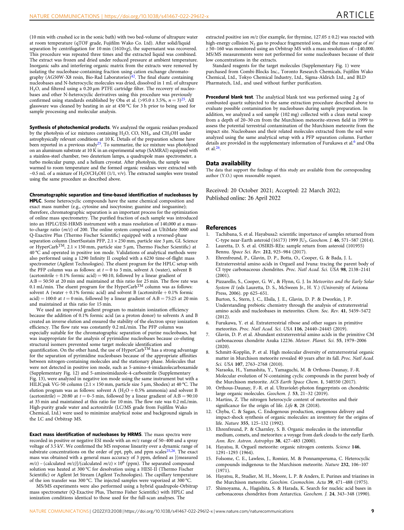<span id="page-8-0"></span>(10 min with crushed ice in the sonic bath) with two bed-volume of ultrapure water at room temperature (qTOF grade, Fujifilm Wako Co. Ltd). After solid/liquid separation by centrifugation for 10 min (1610×g), the supernatant was recovered. This procedure was repeated three times and the extracted liquid was combined. The extract was frozen and dried under reduced pressure at ambient temperature. Inorganic salts and interfering organic matrix from the extracts were removed by isolating the nucleobase-containing fraction using cation exchange chromatography (AG50W-X8 resin, Bio-Rad Laboratories) $42$ . The final eluate containing nucleobases and N-heterocyclic molecules was dried, dissolved in 1 mL of ultrapure H2O, and filtered using a 0.20 μm PTFE cartridge filter. The recovery of nucleobases and other N-heterocyclic derivatives using this procedure was previously confirmed using standards established by Oba et al. (>95.0 ± 3.5%,  $n = 3$ )<sup>25</sup>. All glassware was cleaned by heating in air at 450 °C for 3 h prior to being used for sample processing and molecular analysis.

Synthesis of photochemical products. We analyzed the organic residues produced by the photolysis of ice mixtures containing  $H_2O$ , CO,  $NH_3$ , and CH<sub>3</sub>OH under astrophysically relevant conditions at 10 K. Details of the preparation scheme have been reported in a previous study<sup>25</sup>. To summarize, the ice mixture was photolyzed on an aluminum substrate at 10 K in an experimental setup (SAMRAI) equipped with a stainless-steel chamber, two deuterium lamps, a quadrupole mass spectrometer, a turbo molecular pump, and a helium cryostat. After photolysis, the sample was warmed to room temperature and the formed organic residues were extracted with ~0.5 mL of a mixture of  $H_2O/CH_3OH$  (1/1, v/v). The extracted samples were treated using the same procedure as described above.

### Chromatographic separation and time-based identification of nucleobases by

HPLC. Some heterocyclic compounds have the same chemical composition and exact mass number (e.g., cytosine and isocytosine; guanine and isoguanine); therefore, chromatographic separation is an important process for the optimization of online mass spectrometry. The purified fraction of each sample was introduced into an HPLC/ESI-HRMS instrument with a mass resolution of 140,000 at a massto-charge ratio (m/z) of 200. The online system comprised an UltiMate 3000 and Q-Exactive Plus (Thermo Fischer Scientific) equipped with a reversed-phase separation column (InertSustain PFP, 2.1 × 250 mm, particle size 3 μm, GL Science or HyperCarb<sup>TM</sup>,  $2.1 \times 150$  mm, particle size 5 μm, Thermo Fischer Scientific) at 40 °C and operated in positive ion mode. Validations of analytical methods were also performed using a 1290 Infinity II coupled with a 6230 time-of-flight mass spectrometer (Agilent Technologies). The eluent program for the HPLC setup with the PFP column was as follows: at  $t = 0$  to 5 min, solvent A (water), solvent B (acetonitrile  $+ 0.1\%$  formic acid) = 90:10, followed by a linear gradient of  $A:B = 50:50$  at 20 min and maintained at this ratio for 25 min. The flow rate was 0.1 mL/min. The eluent program for the HyperCarb<sup>TM</sup> column was as follows: solvent A (water  $+$  0.1% formic acid) and solvent B (acetonitrile  $+$  0.1% formic acid) = 100:0 at  $t = 0$  min, followed by a linear gradient of A:B = 75:25 at 20 min and maintained at this ratio for 15 min.

We used an improved gradient program to maintain ionization efficiency because the addition of 0.1% formic acid (as a proton donor) to solvents A and B created an inverse elution and ensured the stability of the electron spray ionization efficiency. The flow rate was constantly 0.2 mL/min. The PFP column was especially suitable for the chromatographic separation of purine nucleobases, but was inappropriate for the analysis of pyrimidine nucleobases because co-eluting structural isomers prevented some target molecule identification and quantification. On the other hand, the use of HyperCarb<sup>TM</sup> has a strong advantage for the separation of pyrimidine nucleobases because of the appropriate affinities between nitrogen-containing molecules and the stationary phase. Molecules that were not detected in positive ion mode, such as 5-amino-4-imidazolecarboxamide (Supplementary Fig. 12) and 5-aminoimidazole-4-carbonitrile (Supplementary Fig. 13), were analyzed in negative ion mode using the same instrument but with a HILICpak VG-50 column (2.1 × 150 mm, particle size 5 μm, Shodex) at 40 °C. The elution program was as follows: solvent A  $(H<sub>2</sub>O + 0.5\%$  ammonia) and solvent B (acetonitrile) = 20:80 at  $t = 0-5$  min, followed by a linear gradient of A:B = 90:10 at 35 min and maintained at this ratio for 10 min. The flow rate was 0.2 mL/min. High-purity grade water and acetonitrile (LC/MS grade from Fujifilm Wako Chemical, Ltd.) were used to minimize analytical noise and background signals in the LC and Orbitrap MS.

Exact mass identification of nucleobases by HRMS. The mass spectra were recorded in positive or negative ESI mode with an m/z range of 50–400 and a spray voltage of 3.5 kV. We confirmed the MS response linearity over a dynamic range of substrate concentrations on the order of ppt, ppb, and ppm scales $25,26$ . The exact mass was obtained with a general mass accuracy of 3 ppm, defined as [(measured  $m/z$ ) – (calculated  $m/z$ )]/(calculated  $m/z$ ) × 10<sup>6</sup> (ppm). The separated compound solution was heated at 300 °C for desolvation using a HESI-II (Thermo Fischer Scientific) or Agilent Jet Stream (Agilent Technologies). The capillary temperature of the ion transfer was 300 °C. The injected samples were vaporized at 300 °C.

MS/MS experiments were also performed using a hybrid quadrupole-Orbitrap mass spectrometer (Q-Exactive Plus, Thermo Fisher Scientific) with HPLC and ionization conditions identical to those used for the full-scan analyses. The

extracted positive ion  $m/z$  (for example, for thymine,  $127.05 \pm 0.2$ ) was reacted with high-energy collision  $\mathrm{N}_2$  gas to produce fragmented ions, and the mass range of  $m/$ z 50–160 was monitored using an Orbitrap MS with a mass resolution of ~140,000. MS/MS measurements were not performed for some nucleobases because of their low concentrations in the extracts.

Standard reagents for the target molecules (Supplementary Fig. 1) were purchased from Combi-Blocks Inc., Toronto Research Chemicals, Fujifilm Wako Chemical, Ltd., Tokyo Chemical Industry, Ltd., Sigma-Aldrich Ltd., and BLD Pharmatech, Ltd., and used without further purification.

Procedural blank test. The analytical blank test was performed using 2 g of combusted quartz subjected to the same extraction procedure described above to evaluate possible contamination by nucleobases during sample preparation. In addition, we analyzed a soil sample (102 mg) collected with a clean metal scoop from a depth of 20–30 cm from the Murchison meteorite-strewn field in 1999 to assess the potential terrestrial contamination of the Murchison meteorite from the impact site. Nucleobases and their related molecules extracted from the soil were analyzed using the same analytical setup with a PFP separation column. Further details are provided in the supplementary information of Furukawa et al.<sup>6</sup> and Oba et al.[26.](#page-9-0)

### Data availability

The data that support the findings of this study are available from the corresponding author (Y.O.) upon reasonable request.

Received: 20 October 2021; Accepted: 22 March 2022; Published online: 26 April 2022

### **References**

- Tachibana, S. et al. Hayabusa2: scientific importance of samples returned from C-type near-Earth asteroid (16173) 1999 JU<sub>3</sub>. Geochem. J. 46, 571-587 (2014).
- 2. Lauretta, D. S. et al. OSIRIS-REx: sample return from asteroid (101955) Bennu. Space Sci. Rev. 212, 925–984 (2017).
- 3. Ehrenfreund, P., Glavin, D. P., Botta, O., Cooper, G. & Bada, J. L. Extraterrestrial amino acids in Orgueil and Ivuna: tracing the parent body of CI type carbonaceous chondrites. Proc. Natl Acad. Sci. USA 98, 2138–2141 (2001).
- Pizzarello, S., Cooper, G. W., & Flynn, G. J. In Meteorites and the Early Solar System II (eds Lauretta, D. S., McSween Jr., H. Y.) (University of Arizona Press, 2006). pp 625–651.
- 5. Burton, S., Stern, J. C., Elsila, J. E., Glavin, D. P. & Dworkin, J. P. Understanding prebiotic chemistry through the analysis of extraterrestrial amino acids and nucleobases in meteorites. Chem. Soc. Rev. 41, 5459–5472 (2012).
- 6. Furukawa, Y. et al. Extraterrestrial ribose and other sugars in primitive meteorites. Proc. Natl Acad. Sci. USA 116, 24440–24445 (2019).
- 7. Glavin, D. P. et al. Abundant extraterrestrial amino acids in the primitive CM carbonaceous chondrite Asuka 12236. Meteor. Planet. Sci. 55, 1979–2006  $(2020)$
- 8. Schmitt-Kopplin, P. et al. High molecular diversity of extraterrestrial organic matter in Murchison meteorite revealed 40 years after its fall. Proc. Natl Acad. Sci. USA 107, 2763–2768 (2010).
- 9. Naraoka, H., Yamashita, Y., Yamaguchi, M. & Orthous-Daunay, F.-R. Molecular evolution of N-containing cyclic compounds in the parent body of the Murchison meteorite. ACS Earth Space Chem. 1, 540550 (2017).
- 10. Orthous-Daunay, F.-R. et al. Ultraviolet-photon fingerprints on chondritic large organic molecules. Geochem. J. 53, 21–32 (2019).
- 11. Martins, Z. The nitrogen heterocycle content of meteorites and their significance for the origin of life. Life 8, 28 (2018).
- 12. Chyba, C. & Sagan, C. Endogenous production, exogenous delivery and impact-shock synthesis of organic molecules: an inventory for the origins of life. Nature 355, 125–132 (1992).
- Ehrenfreund, P. & Charnley, S. B. Organic molecules in the interstellar medium, comets, and meteorites: a voyage from dark clouds to the early Earth. Ann. Rev. Astron. Astrophys 38, 427–483 (2000).
- 14. Hayatsu, R. Orgueil meteorite: organic nitrogen contents. Science 146, 1291–1293 (1964).
- 15. Folsome, C. E., Lawless, J., Romiez, M. & Ponnamperuma, C. Heterocyclic compounds indigenous to the Murchison meteorite. Nature 232, 106–107 (1971).
- Hayatsu, R., Studier, M. H., Moore, L. P. & Anders, E. Purines and triazines in the Murchison meteorite. Geochim. Cosmochim. Acta 39, 471–488 (1975).
- 17. Shimoyama, A., Hagishita, S. & Harada, K. Search for nucleic acid bases in carbonaceous chondrites from Antarctica. Geochem. J. 24, 343–348 (1990).